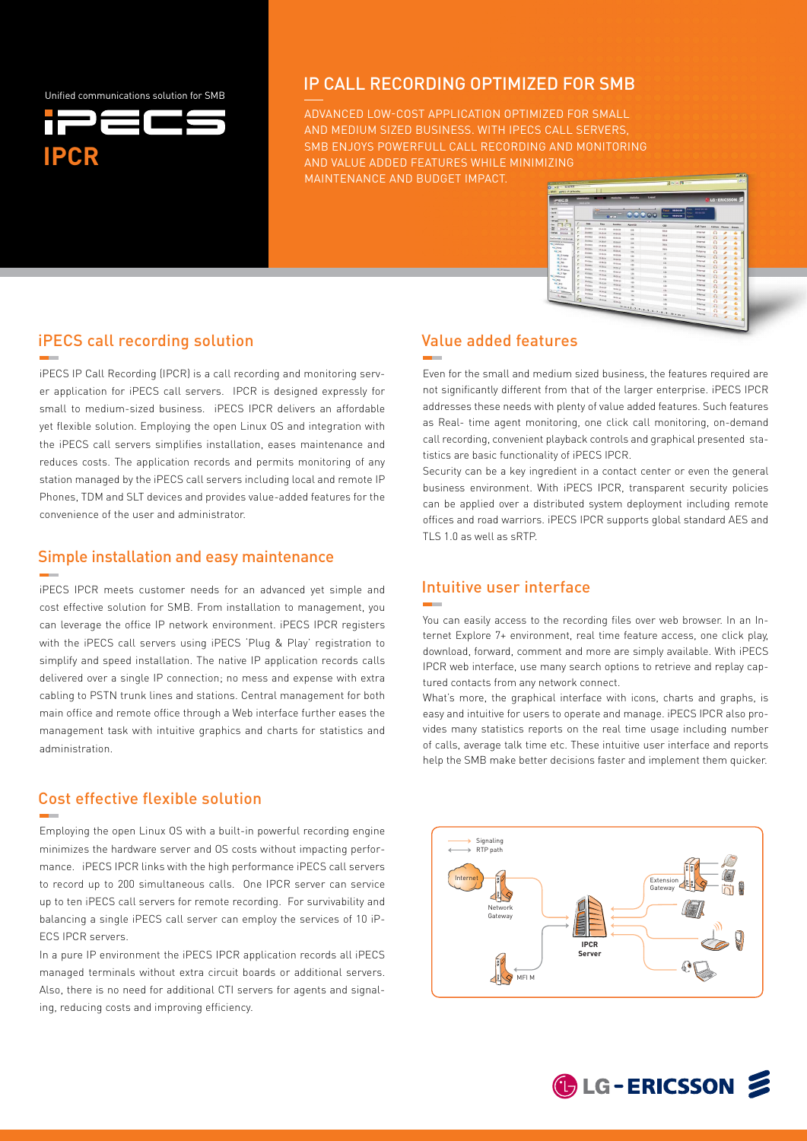Unified communications solution for SMB



### IP CALL RECORDING OPTIMIZED FOR SMB

ADVANCED LOW-COST APPLICATION OPTIMIZED FOR SMALL AND MEDIUM SIZED BUSINESS. WITH iPECS CALL SERVERS, SMB ENJOYS POWERFULL CALL RECORDING AND MONITORING aND VALUE ADDED FEATURES WHILE MINIMIZING MAINTENANCE AND BUDGET IMPACT.



#### iPECS call recording solution

iPECS IP Call Recording (IPCR) is a call recording and monitoring server application for iPECS call servers. IPCR is designed expressly for small to medium-sized business. iPECS IPCR delivers an affordable yet flexible solution. Employing the open Linux OS and integration with the iPECS call servers simplifies installation, eases maintenance and reduces costs. The application records and permits monitoring of any station managed by the iPECS call servers including local and remote IP Phones, TDM and SLT devices and provides value-added features for the convenience of the user and administrator.

#### Simple installation and easy maintenance

iPECS IPCR meets customer needs for an advanced yet simple and cost effective solution for SMB. From installation to management, you can leverage the office IP network environment. iPECS IPCR registers with the iPECS call servers using iPECS 'Plug & Play' registration to simplify and speed installation. The native IP application records calls delivered over a single IP connection; no mess and expense with extra cabling to PSTN trunk lines and stations. Central management for both main office and remote office through a Web interface further eases the management task with intuitive graphics and charts for statistics and administration.

## Cost effective flexible solution

Employing the open Linux OS with a built-in powerful recording engine minimizes the hardware server and OS costs without impacting performance. iPECS IPCR links with the high performance iPECS call servers to record up to 200 simultaneous calls. One IPCR server can service up to ten iPECS call servers for remote recording. For survivability and balancing a single iPECS call server can employ the services of 10 iP-ECS IPCR servers.

In a pure IP environment the iPECS IPCR application records all iPECS managed terminals without extra circuit boards or additional servers. Also, there is no need for additional CTI servers for agents and signaling, reducing costs and improving efficiency.

## Value added features

Even for the small and medium sized business, the features required are not significantly different from that of the larger enterprise. iPECS IPCR addresses these needs with plenty of value added features. Such features as Real- time agent monitoring, one click call monitoring, on-demand call recording, convenient playback controls and graphical presented statistics are basic functionality of iPECS IPCR.

Security can be a key ingredient in a contact center or even the general business environment. With iPECS IPCR, transparent security policies can be applied over a distributed system deployment including remote offices and road warriors. iPECS IPCR supports global standard AES and TLS 1.0 as well as sRTP.

#### Intuitive user interface



You can easily access to the recording files over web browser. In an Internet Explore 7+ environment, real time feature access, one click play, download, forward, comment and more are simply available. With iPECS IPCR web interface, use many search options to retrieve and replay captured contacts from any network connect.

What's more, the graphical interface with icons, charts and graphs, is easy and intuitive for users to operate and manage. iPECS IPCR also provides many statistics reports on the real time usage including number of calls, average talk time etc. These intuitive user interface and reports help the SMB make better decisions faster and implement them quicker.



**C**LG-ERICSSON